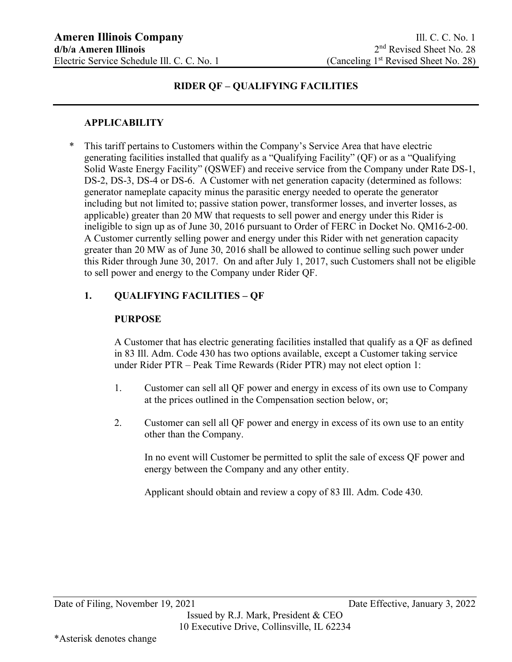#### **APPLICABILITY**

\* This tariff pertains to Customers within the Company's Service Area that have electric generating facilities installed that qualify as a "Qualifying Facility" (QF) or as a "Qualifying Solid Waste Energy Facility" (QSWEF) and receive service from the Company under Rate DS-1, DS-2, DS-3, DS-4 or DS-6. A Customer with net generation capacity (determined as follows: generator nameplate capacity minus the parasitic energy needed to operate the generator including but not limited to; passive station power, transformer losses, and inverter losses, as applicable) greater than 20 MW that requests to sell power and energy under this Rider is ineligible to sign up as of June 30, 2016 pursuant to Order of FERC in Docket No. QM16-2-00. A Customer currently selling power and energy under this Rider with net generation capacity greater than 20 MW as of June 30, 2016 shall be allowed to continue selling such power under this Rider through June 30, 2017. On and after July 1, 2017, such Customers shall not be eligible to sell power and energy to the Company under Rider QF.

## **1. QUALIFYING FACILITIES – QF**

### **PURPOSE**

A Customer that has electric generating facilities installed that qualify as a QF as defined in 83 Ill. Adm. Code 430 has two options available, except a Customer taking service under Rider PTR – Peak Time Rewards (Rider PTR) may not elect option 1:

- 1. Customer can sell all QF power and energy in excess of its own use to Company at the prices outlined in the Compensation section below, or;
- 2. Customer can sell all QF power and energy in excess of its own use to an entity other than the Company.

In no event will Customer be permitted to split the sale of excess QF power and energy between the Company and any other entity.

Applicant should obtain and review a copy of 83 Ill. Adm. Code 430.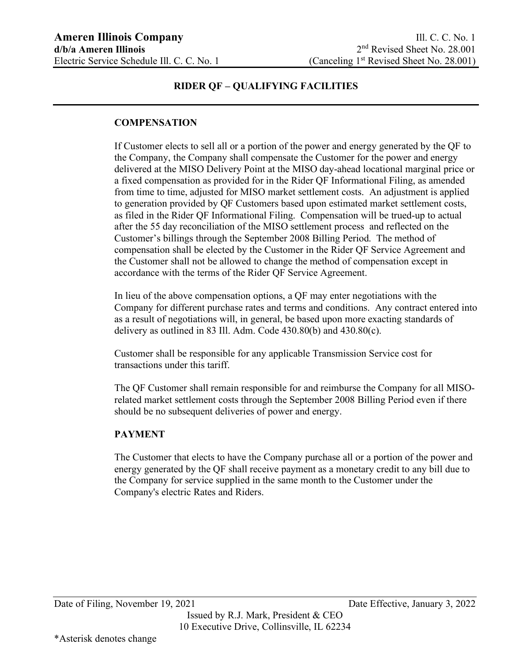### **COMPENSATION**

If Customer elects to sell all or a portion of the power and energy generated by the QF to the Company, the Company shall compensate the Customer for the power and energy delivered at the MISO Delivery Point at the MISO day-ahead locational marginal price or a fixed compensation as provided for in the Rider QF Informational Filing, as amended from time to time, adjusted for MISO market settlement costs. An adjustment is applied to generation provided by QF Customers based upon estimated market settlement costs, as filed in the Rider QF Informational Filing. Compensation will be trued-up to actual after the 55 day reconciliation of the MISO settlement process and reflected on the Customer's billings through the September 2008 Billing Period. The method of compensation shall be elected by the Customer in the Rider QF Service Agreement and the Customer shall not be allowed to change the method of compensation except in accordance with the terms of the Rider QF Service Agreement.

In lieu of the above compensation options, a QF may enter negotiations with the Company for different purchase rates and terms and conditions. Any contract entered into as a result of negotiations will, in general, be based upon more exacting standards of delivery as outlined in 83 Ill. Adm. Code 430.80(b) and 430.80(c).

Customer shall be responsible for any applicable Transmission Service cost for transactions under this tariff.

The QF Customer shall remain responsible for and reimburse the Company for all MISOrelated market settlement costs through the September 2008 Billing Period even if there should be no subsequent deliveries of power and energy.

#### **PAYMENT**

The Customer that elects to have the Company purchase all or a portion of the power and energy generated by the QF shall receive payment as a monetary credit to any bill due to the Company for service supplied in the same month to the Customer under the Company's electric Rates and Riders.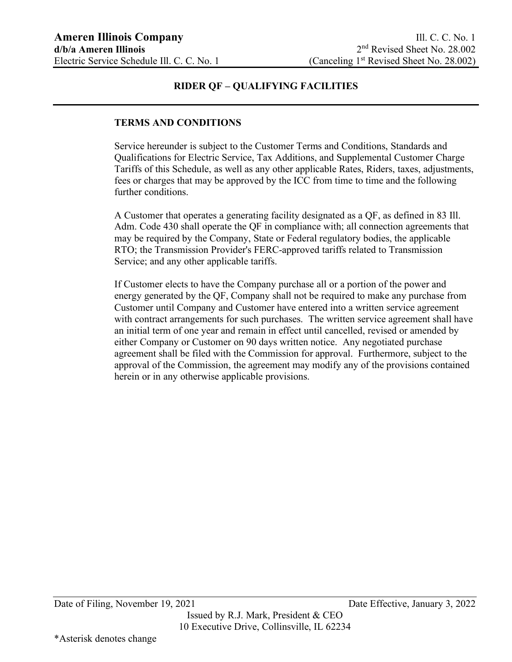#### **TERMS AND CONDITIONS**

Service hereunder is subject to the Customer Terms and Conditions, Standards and Qualifications for Electric Service, Tax Additions, and Supplemental Customer Charge Tariffs of this Schedule, as well as any other applicable Rates, Riders, taxes, adjustments, fees or charges that may be approved by the ICC from time to time and the following further conditions.

A Customer that operates a generating facility designated as a QF, as defined in 83 Ill. Adm. Code 430 shall operate the QF in compliance with; all connection agreements that may be required by the Company, State or Federal regulatory bodies, the applicable RTO; the Transmission Provider's FERC-approved tariffs related to Transmission Service; and any other applicable tariffs.

If Customer elects to have the Company purchase all or a portion of the power and energy generated by the QF, Company shall not be required to make any purchase from Customer until Company and Customer have entered into a written service agreement with contract arrangements for such purchases. The written service agreement shall have an initial term of one year and remain in effect until cancelled, revised or amended by either Company or Customer on 90 days written notice. Any negotiated purchase agreement shall be filed with the Commission for approval. Furthermore, subject to the approval of the Commission, the agreement may modify any of the provisions contained herein or in any otherwise applicable provisions.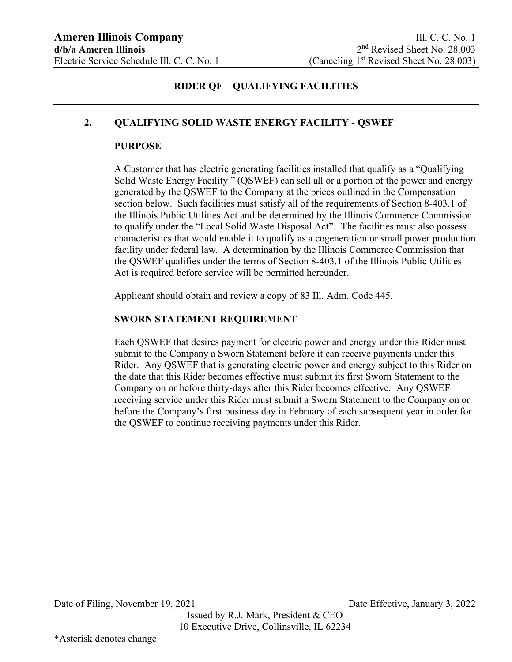#### **2. QUALIFYING SOLID WASTE ENERGY FACILITY - QSWEF**

#### **PURPOSE**

A Customer that has electric generating facilities installed that qualify as a "Qualifying Solid Waste Energy Facility " (QSWEF) can sell all or a portion of the power and energy generated by the QSWEF to the Company at the prices outlined in the Compensation section below. Such facilities must satisfy all of the requirements of Section 8-403.1 of the Illinois Public Utilities Act and be determined by the Illinois Commerce Commission to qualify under the "Local Solid Waste Disposal Act". The facilities must also possess characteristics that would enable it to qualify as a cogeneration or small power production facility under federal law. A determination by the Illinois Commerce Commission that the QSWEF qualifies under the terms of Section 8-403.1 of the Illinois Public Utilities Act is required before service will be permitted hereunder.

Applicant should obtain and review a copy of 83 Ill. Adm. Code 445.

#### **SWORN STATEMENT REQUIREMENT**

Each QSWEF that desires payment for electric power and energy under this Rider must submit to the Company a Sworn Statement before it can receive payments under this Rider. Any QSWEF that is generating electric power and energy subject to this Rider on the date that this Rider becomes effective must submit its first Sworn Statement to the Company on or before thirty-days after this Rider becomes effective. Any QSWEF receiving service under this Rider must submit a Sworn Statement to the Company on or before the Company's first business day in February of each subsequent year in order for the QSWEF to continue receiving payments under this Rider.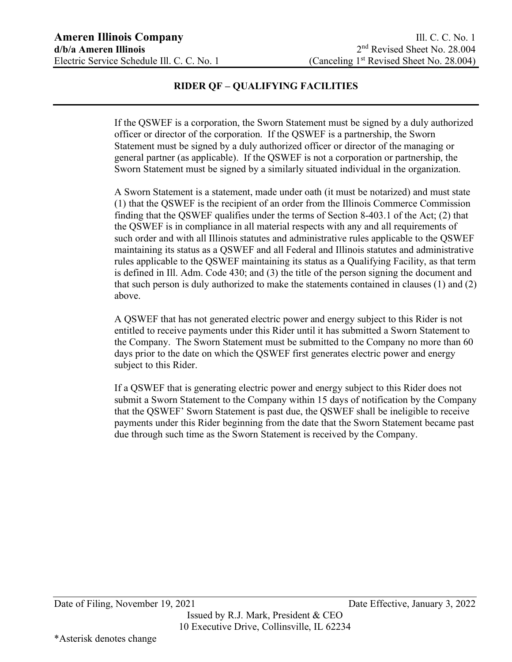If the QSWEF is a corporation, the Sworn Statement must be signed by a duly authorized officer or director of the corporation. If the QSWEF is a partnership, the Sworn Statement must be signed by a duly authorized officer or director of the managing or general partner (as applicable). If the QSWEF is not a corporation or partnership, the Sworn Statement must be signed by a similarly situated individual in the organization.

A Sworn Statement is a statement, made under oath (it must be notarized) and must state (1) that the QSWEF is the recipient of an order from the Illinois Commerce Commission finding that the QSWEF qualifies under the terms of Section 8-403.1 of the Act; (2) that the QSWEF is in compliance in all material respects with any and all requirements of such order and with all Illinois statutes and administrative rules applicable to the QSWEF maintaining its status as a QSWEF and all Federal and Illinois statutes and administrative rules applicable to the QSWEF maintaining its status as a Qualifying Facility, as that term is defined in Ill. Adm. Code 430; and (3) the title of the person signing the document and that such person is duly authorized to make the statements contained in clauses (1) and (2) above.

A QSWEF that has not generated electric power and energy subject to this Rider is not entitled to receive payments under this Rider until it has submitted a Sworn Statement to the Company. The Sworn Statement must be submitted to the Company no more than 60 days prior to the date on which the QSWEF first generates electric power and energy subject to this Rider.

If a QSWEF that is generating electric power and energy subject to this Rider does not submit a Sworn Statement to the Company within 15 days of notification by the Company that the QSWEF' Sworn Statement is past due, the QSWEF shall be ineligible to receive payments under this Rider beginning from the date that the Sworn Statement became past due through such time as the Sworn Statement is received by the Company.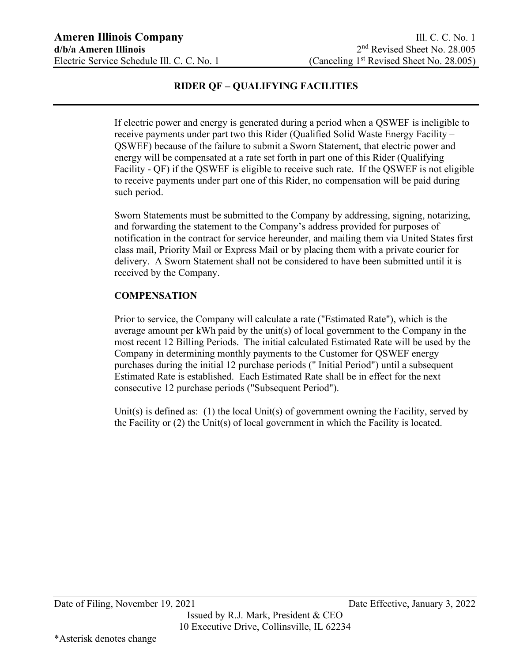If electric power and energy is generated during a period when a QSWEF is ineligible to receive payments under part two this Rider (Qualified Solid Waste Energy Facility – QSWEF) because of the failure to submit a Sworn Statement, that electric power and energy will be compensated at a rate set forth in part one of this Rider (Qualifying Facility - QF) if the QSWEF is eligible to receive such rate. If the QSWEF is not eligible to receive payments under part one of this Rider, no compensation will be paid during such period.

Sworn Statements must be submitted to the Company by addressing, signing, notarizing, and forwarding the statement to the Company's address provided for purposes of notification in the contract for service hereunder, and mailing them via United States first class mail, Priority Mail or Express Mail or by placing them with a private courier for delivery. A Sworn Statement shall not be considered to have been submitted until it is received by the Company.

### **COMPENSATION**

Prior to service, the Company will calculate a rate ("Estimated Rate"), which is the average amount per kWh paid by the unit(s) of local government to the Company in the most recent 12 Billing Periods. The initial calculated Estimated Rate will be used by the Company in determining monthly payments to the Customer for QSWEF energy purchases during the initial 12 purchase periods (" Initial Period") until a subsequent Estimated Rate is established. Each Estimated Rate shall be in effect for the next consecutive 12 purchase periods ("Subsequent Period").

Unit(s) is defined as: (1) the local Unit(s) of government owning the Facility, served by the Facility or (2) the Unit(s) of local government in which the Facility is located.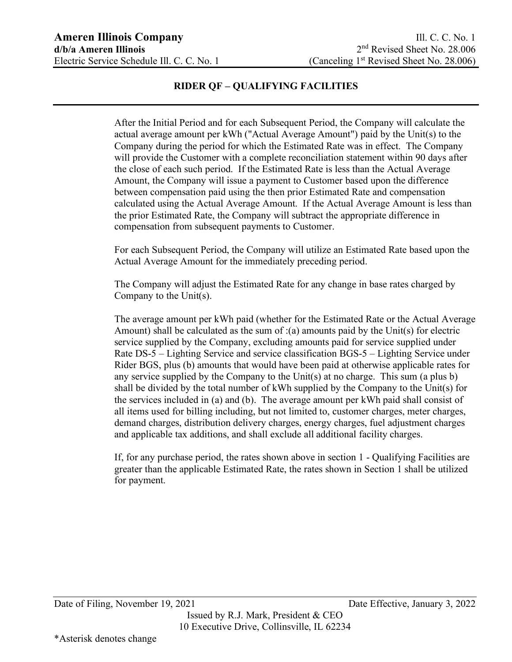After the Initial Period and for each Subsequent Period, the Company will calculate the actual average amount per kWh ("Actual Average Amount") paid by the Unit(s) to the Company during the period for which the Estimated Rate was in effect. The Company will provide the Customer with a complete reconciliation statement within 90 days after the close of each such period. If the Estimated Rate is less than the Actual Average Amount, the Company will issue a payment to Customer based upon the difference between compensation paid using the then prior Estimated Rate and compensation calculated using the Actual Average Amount. If the Actual Average Amount is less than the prior Estimated Rate, the Company will subtract the appropriate difference in compensation from subsequent payments to Customer.

For each Subsequent Period, the Company will utilize an Estimated Rate based upon the Actual Average Amount for the immediately preceding period.

The Company will adjust the Estimated Rate for any change in base rates charged by Company to the Unit(s).

The average amount per kWh paid (whether for the Estimated Rate or the Actual Average Amount) shall be calculated as the sum of  $:(a)$  amounts paid by the Unit(s) for electric service supplied by the Company, excluding amounts paid for service supplied under Rate DS-5 – Lighting Service and service classification BGS-5 – Lighting Service under Rider BGS, plus (b) amounts that would have been paid at otherwise applicable rates for any service supplied by the Company to the Unit(s) at no charge. This sum (a plus b) shall be divided by the total number of kWh supplied by the Company to the Unit(s) for the services included in (a) and (b). The average amount per kWh paid shall consist of all items used for billing including, but not limited to, customer charges, meter charges, demand charges, distribution delivery charges, energy charges, fuel adjustment charges and applicable tax additions, and shall exclude all additional facility charges.

If, for any purchase period, the rates shown above in section 1 - Qualifying Facilities are greater than the applicable Estimated Rate, the rates shown in Section 1 shall be utilized for payment.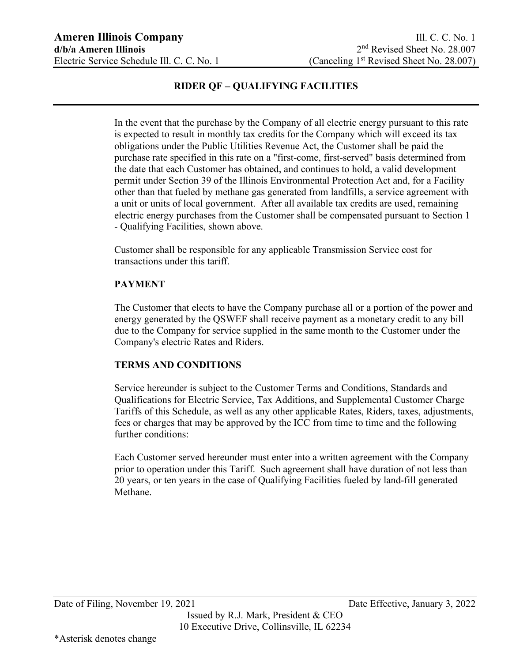In the event that the purchase by the Company of all electric energy pursuant to this rate is expected to result in monthly tax credits for the Company which will exceed its tax obligations under the Public Utilities Revenue Act, the Customer shall be paid the purchase rate specified in this rate on a "first-come, first-served" basis determined from the date that each Customer has obtained, and continues to hold, a valid development permit under Section 39 of the Illinois Environmental Protection Act and, for a Facility other than that fueled by methane gas generated from landfills, a service agreement with a unit or units of local government. After all available tax credits are used, remaining electric energy purchases from the Customer shall be compensated pursuant to Section 1 - Qualifying Facilities, shown above.

Customer shall be responsible for any applicable Transmission Service cost for transactions under this tariff.

#### **PAYMENT**

The Customer that elects to have the Company purchase all or a portion of the power and energy generated by the QSWEF shall receive payment as a monetary credit to any bill due to the Company for service supplied in the same month to the Customer under the Company's electric Rates and Riders.

#### **TERMS AND CONDITIONS**

Service hereunder is subject to the Customer Terms and Conditions, Standards and Qualifications for Electric Service, Tax Additions, and Supplemental Customer Charge Tariffs of this Schedule, as well as any other applicable Rates, Riders, taxes, adjustments, fees or charges that may be approved by the ICC from time to time and the following further conditions:

Each Customer served hereunder must enter into a written agreement with the Company prior to operation under this Tariff. Such agreement shall have duration of not less than 20 years, or ten years in the case of Qualifying Facilities fueled by land-fill generated Methane.